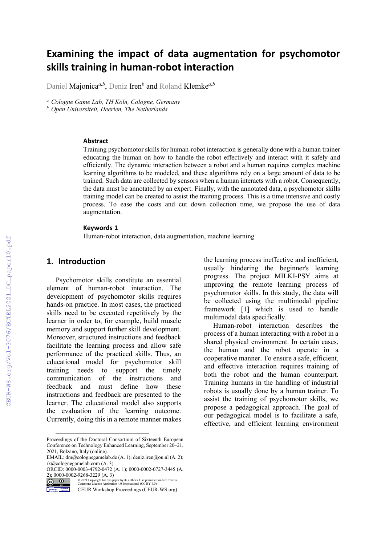# **Examining the impact of data augmentation for psychomotor skills training in human-robot interaction**

Daniel Majonica*a,b*, Deniz Iren*<sup>b</sup>* and Roland Klemke*a,b*

*<sup>a</sup> Cologne Game Lab, TH Köln, Cologne, Germany*

*<sup>b</sup> Open Universiteit, Heerlen, The Netherlands*

#### **Abstract**

Training psychomotor skills for human-robot interaction is generally done with a human trainer educating the human on how to handle the robot effectively and interact with it safely and efficiently. The dynamic interaction between a robot and a human requires complex machine learning algorithms to be modeled, and these algorithms rely on a large amount of data to be trained. Such data are collected by sensors when a human interacts with a robot. Consequently, the data must be annotated by an expert. Finally, with the annotated data, a psychomotor skills training model can be created to assist the training process. This is a time intensive and costly process. To ease the costs and cut down collection time, we propose the use of data augmentation.

#### **Keywords [1](#page-0-0)**

Human-robot interaction, data augmentation, machine learning

#### **1. Introduction**

Psychomotor skills constitute an essential element of human-robot interaction. The development of psychomotor skills requires hands-on practice. In most cases, the practiced skills need to be executed repetitively by the learner in order to, for example, build muscle memory and support further skill development. Moreover, structured instructions and feedback facilitate the learning process and allow safe performance of the practiced skills. Thus, an educational model for psychomotor skill training needs to support the timely<br>communication of the instructions and communication of the feedback and must define how these instructions and feedback are presented to the learner. The educational model also supports the evaluation of the learning outcome. Currently, doing this in a remote manner makes the learning process ineffective and inefficient, usually hindering the beginner's learning progress. The project MILKI-PSY aims at improving the remote learning process of psychomotor skills. In this study, the data will be collected using the multimodal pipeline framework [\[1\]](#page--1-0) which is used to handle multimodal data specifically.

Human-robot interaction describes the process of a human interacting with a robot in a shared physical environment. In certain cases, the human and the robot operate in a cooperative manner. To ensure a safe, efficient, and effective interaction requires training of both the robot and the human counterpart. Training humans in the handling of industrial robots is usually done by a human trainer. To assist the training of psychomotor skills, we propose a pedagogical approach. The goal of our pedagogical model is to facilitate a safe, effective, and efficient learning environment

<span id="page-0-0"></span>Proceedings of the Doctoral Consortium of Sixteenth European Conference on Technology Enhanced Learning, September 20–21, 2021, Bolzano, Italy (online).

EMAIL: dm@colognegamelab.de (A. 1); deniz.iren@ou.nl (A. 2); rk@colognegamelab.com (A. 3)

ORCID: 0000-0003-4792-0472 (A. 1); 0000-0002-0727-3445 (A. 2); 0000-0002-9268-3229  $(A. 3)$ <br>  $\bigodot \bigodot \bigodot \bigodot \bigodot \bigodot \text{Cymmons Licensc Atribution 4.0 International (CC BY 4.0).}$ 

CEUR Workshop Proceedings (CEUR-WS.org)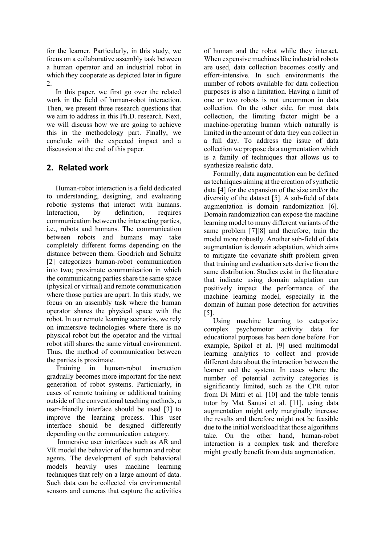for the learner. Particularly, in this study, we focus on a collaborative assembly task between a human operator and an industrial robot in which they cooperate as depicted later in figure 2.

In this paper, we first go over the related work in the field of human-robot interaction. Then, we present three research questions that we aim to address in this Ph.D. research. Next, we will discuss how we are going to achieve this in the methodology part. Finally, we conclude with the expected impact and a discussion at the end of this paper.

# **2. Related work**

Human-robot interaction is a field dedicated to understanding, designing, and evaluating robotic systems that interact with humans. Interaction, by definition, requires communication between the interacting parties, i.e., robots and humans. The communication between robots and humans may take completely different forms depending on the distance between them. Goodrich and Schultz [\[2\]](#page-4-0) categorizes human-robot communication into two; proximate communication in which the communicating parties share the same space (physical or virtual) and remote communication where those parties are apart. In this study, we focus on an assembly task where the human operator shares the physical space with the robot. In our remote learning scenarios, we rely on immersive technologies where there is no physical robot but the operator and the virtual robot still shares the same virtual environment. Thus, the method of communication between the parties is proximate.

Training in human-robot interaction gradually becomes more important for the next generation of robot systems. Particularly, in cases of remote training or additional training outside of the conventional teaching methods, a user-friendly interface should be used [\[3\]](#page-4-1) to improve the learning process. This user interface should be designed differently depending on the communication category.

Immersive user interfaces such as AR and VR model the behavior of the human and robot agents. The development of such behavioral models heavily uses machine learning techniques that rely on a large amount of data. Such data can be collected via environmental sensors and cameras that capture the activities

of human and the robot while they interact. When expensive machines like industrial robots are used, data collection becomes costly and effort-intensive. In such environments the number of robots available for data collection purposes is also a limitation. Having a limit of one or two robots is not uncommon in data collection. On the other side, for most data collection, the limiting factor might be a machine-operating human which naturally is limited in the amount of data they can collect in a full day. To address the issue of data collection we propose data augmentation which is a family of techniques that allows us to synthesize realistic data.

Formally, data augmentation can be defined as techniques aiming at the creation of synthetic data [\[4\]](#page-4-2) for the expansion of the size and/or the diversity of the dataset [\[5\].](#page-4-3) A sub-field of data augmentation is domain randomization [\[6\].](#page-4-4) Domain randomization can expose the machine learning model to many different variants of the same problem [\[7\]](#page-4-5)[\[8\]](#page-4-6) and therefore, train the model more robustly. Another sub-field of data augmentation is domain adaptation, which aims to mitigate the covariate shift problem given that training and evaluation sets derive from the same distribution. Studies exist in the literature that indicate using domain adaptation can positively impact the performance of the machine learning model, especially in the domain of human pose detection for activities [\[5\].](#page-4-3)

Using machine learning to categorize complex psychomotor activity data for educational purposes has been done before. For example, Spikol et al. [\[9\]](#page-5-0) used multimodal learning analytics to collect and provide different data about the interaction between the learner and the system. In cases where the number of potential activity categories is significantly limited, such as the CPR tutor from Di Mitri et al. [\[10\]](#page-5-1) and the table tennis tutor by Mat Sanusi et al. [\[11\],](#page-5-2) using data augmentation might only marginally increase the results and therefore might not be feasible due to the initial workload that those algorithms take. On the other hand, human-robot interaction is a complex task and therefore might greatly benefit from data augmentation.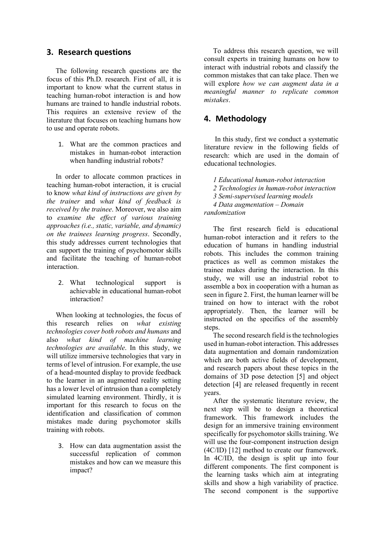#### **3. Research questions**

The following research questions are the focus of this Ph.D. research. First of all, it is important to know what the current status in teaching human-robot interaction is and how humans are trained to handle industrial robots. This requires an extensive review of the literature that focuses on teaching humans how to use and operate robots.

1. What are the common practices and mistakes in human-robot interaction when handling industrial robots?

In order to allocate common practices in teaching human-robot interaction, it is crucial to know *what kind of instructions are given by the trainer* and *what kind of feedback is received by the trainee*. Moreover, we also aim to *examine the effect of various training approaches (i.e., static, variable, and dynamic) on the trainees learning progress*. Secondly, this study addresses current technologies that can support the training of psychomotor skills and facilitate the teaching of human-robot interaction.

2. What technological support is achievable in educational human-robot interaction?

When looking at technologies, the focus of this research relies on *what existing technologies cover both robots and humans* and also *what kind of machine learning technologies are available*. In this study, we will utilize immersive technologies that vary in terms of level of intrusion. For example, the use of a head-mounted display to provide feedback to the learner in an augmented reality setting has a lower level of intrusion than a completely simulated learning environment. Thirdly, it is important for this research to focus on the identification and classification of common mistakes made during psychomotor skills training with robots.

3. How can data augmentation assist the successful replication of common mistakes and how can we measure this impact?

To address this research question, we will consult experts in training humans on how to interact with industrial robots and classify the common mistakes that can take place. Then we will explore *how we can augment data in a meaningful manner to replicate common mistakes*.

### **4. Methodology**

In this study, first we conduct a systematic literature review in the following fields of research: which are used in the domain of educational technologies.

*1 Educational human-robot interaction 2 Technologies in human-robot interaction 3 Semi-supervised learning models 4 Data augmentation – Domain randomization*

The first research field is educational human-robot interaction and it refers to the education of humans in handling industrial robots. This includes the common training practices as well as common mistakes the trainee makes during the interaction. In this study, we will use an industrial robot to assemble a box in cooperation with a human as seen in figure 2. First, the human learner will be trained on how to interact with the robot appropriately. Then, the learner will be instructed on the specifics of the assembly steps.

The second research field is the technologies used in human-robot interaction. This addresses data augmentation and domain randomization which are both active fields of development, and research papers about these topics in the domains of 3D pose detection [\[5\]](#page-4-3) and object detection [\[4\]](#page-4-2) are released frequently in recent years.

After the systematic literature review, the next step will be to design a theoretical framework. This framework includes the design for an immersive training environment specifically for psychomotor skills training. We will use the four-component instruction design (4C/ID) [\[12\]](#page-5-3) method to create our framework. In 4C/ID, the design is split up into four different components. The first component is the learning tasks which aim at integrating skills and show a high variability of practice. The second component is the supportive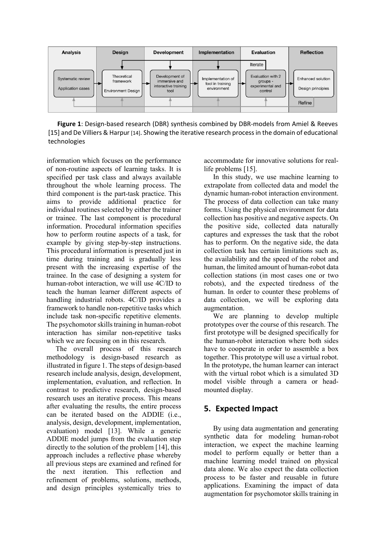

**Figure 1**: Design-based research (DBR) synthesis combined by DBR-models from Amiel & Reeves [\[15\]](#page-5-6) and De Villiers & Harpu[r \[14\].](#page-5-5) Showing the iterative research process in the domain of educational technologies

information which focuses on the performance of non-routine aspects of learning tasks. It is specified per task class and always available throughout the whole learning process. The third component is the part-task practice. This aims to provide additional practice for individual routines selected by either the trainer or trainee. The last component is procedural information. Procedural information specifies how to perform routine aspects of a task, for example by giving step-by-step instructions. This procedural information is presented just in time during training and is gradually less present with the increasing expertise of the trainee. In the case of designing a system for human-robot interaction, we will use 4C/ID to teach the human learner different aspects of handling industrial robots. 4C/ID provides a framework to handle non-repetitive tasks which include task non-specific repetitive elements. The psychomotor skills training in human-robot interaction has similar non-repetitive tasks which we are focusing on in this research.

The overall process of this research methodology is design-based research as illustrated in figure 1. The steps of design-based research include analysis, design, development, implementation, evaluation, and reflection. In contrast to predictive research, design-based research uses an iterative process. This means after evaluating the results, the entire process can be iterated based on the ADDIE (i.e., analysis, design, development, implementation, evaluation) model [\[13\].](#page-5-4) While a generic ADDIE model jumps from the evaluation step directly to the solution of the problem [\[14\],](#page-5-5) this approach includes a reflective phase whereby all previous steps are examined and refined for the next iteration. This reflection and refinement of problems, solutions, methods, and design principles systemically tries to

accommodate for innovative solutions for reallife problems [\[15\].](#page-5-6)

In this study, we use machine learning to extrapolate from collected data and model the dynamic human-robot interaction environment. The process of data collection can take many forms. Using the physical environment for data collection has positive and negative aspects. On the positive side, collected data naturally captures and expresses the task that the robot has to perform. On the negative side, the data collection task has certain limitations such as, the availability and the speed of the robot and human, the limited amount of human-robot data collection stations (in most cases one or two robots), and the expected tiredness of the human. In order to counter these problems of data collection, we will be exploring data augmentation.

We are planning to develop multiple prototypes over the course of this research. The first prototype will be designed specifically for the human-robot interaction where both sides have to cooperate in order to assemble a box together. This prototype will use a virtual robot. In the prototype, the human learner can interact with the virtual robot which is a simulated 3D model visible through a camera or headmounted display.

# **5. Expected Impact**

By using data augmentation and generating synthetic data for modeling human-robot interaction, we expect the machine learning model to perform equally or better than a machine learning model trained on physical data alone. We also expect the data collection process to be faster and reusable in future applications. Examining the impact of data augmentation for psychomotor skills training in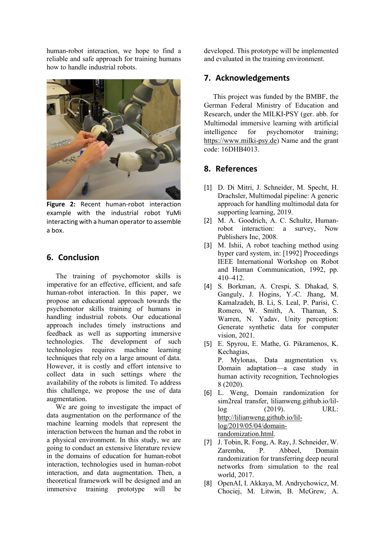human-robot interaction, we hope to find a reliable and safe approach for training humans how to handle industrial robots.



**Figure 2:** Recent human-robot interaction example with the industrial robot YuMi interacting with a human operator to assemble a box.

### **6. Conclusion**

The training of psychomotor skills is imperative for an effective, efficient, and safe human-robot interaction. In this paper, we propose an educational approach towards the psychomotor skills training of humans in handling industrial robots. Our educational approach includes timely instructions and feedback as well as supporting immersive technologies. The development of such technologies requires machine learning techniques that rely on a large amount of data. However, it is costly and effort intensive to collect data in such settings where the availability of the robots is limited. To address this challenge, we propose the use of data augmentation.

We are going to investigate the impact of data augmentation on the performance of the machine learning models that represent the interaction between the human and the robot in a physical environment. In this study, we are going to conduct an extensive literature review in the domains of education for human-robot interaction, technologies used in human-robot interaction, and data augmentation. Then, a theoretical framework will be designed and an immersive training prototype will be

developed. This prototype will be implemented and evaluated in the training environment.

# **7. Acknowledgements**

This project was funded by the BMBF, the German Federal Ministry of Education and Research, under the MILKI-PSY (ger. abb. for Multimodal immersive learning with artificial intelligence for psychomotor training; [https://www.milki-psy.de\)](https://www.milki-psy.de/) Name and the grant code: 16DHB4013.

# **8. References**

- [1] D. Di Mitri, J. Schneider, M. Specht, H. Drachsler, Multimodal pipeline: A generic approach for handling multimodal data for supporting learning, 2019.
- <span id="page-4-0"></span>[2] M. A. Goodrich, A. C. Schultz, Humanrobot interaction: a survey, Now Publishers Inc, 2008.
- <span id="page-4-1"></span>[3] M. Ishii, A robot teaching method using hyper card system, in: [1992] Proceedings IEEE International Workshop on Robot and Human Communication, 1992, pp. 410–412.
- <span id="page-4-2"></span>[4] S. Borkman, A. Crespi, S. Dhakad, S. Ganguly, J. Hogins, Y.-C. Jhang, M. Kamalzadeh, B. Li, S. Leal, P. Parisi, C. Romero, W. Smith, A. Thaman, S. Warren, N. Yadav, Unity perception: Generate synthetic data for computer vision, 2021.
- <span id="page-4-3"></span>[5] E. Spyrou, E. Mathe, G. Pikramenos, K. Kechagias, P. Mylonas, Data augmentation vs. Domain adaptation—a case study in human activity recognition, Technologies 8 (2020).
- <span id="page-4-4"></span>[6] L. Weng, Domain randomization for sim2real transfer, lilianweng.github.io/lillog (2019). URL: [http://lilianweng.github.io/lil](http://lilianweng.github.io/lil-log/2019/05/04/domain-randomization.html)[log/2019/05/04/domain](http://lilianweng.github.io/lil-log/2019/05/04/domain-randomization.html)[randomization.html.](http://lilianweng.github.io/lil-log/2019/05/04/domain-randomization.html)
- <span id="page-4-5"></span>[7] J. Tobin, R. Fong, A. Ray, J. Schneider, W. Zaremba, P. Abbeel, Domain randomization for transferring deep neural networks from simulation to the real world, 2017.
- <span id="page-4-6"></span>[8] OpenAI, I. Akkaya, M. Andrychowicz, M. Chociej, M. Litwin, B. McGrew, A.